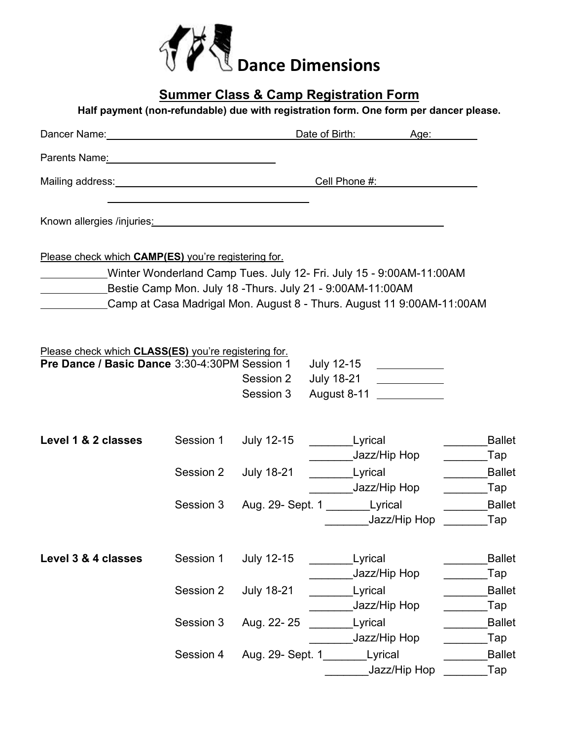

| <b>Summer Class &amp; Camp Registration Form</b><br>Half payment (non-refundable) due with registration form. One form per dancer please. |           |                        |                                                                                                                                                                                                                                     |                                    |  |  |  |
|-------------------------------------------------------------------------------------------------------------------------------------------|-----------|------------------------|-------------------------------------------------------------------------------------------------------------------------------------------------------------------------------------------------------------------------------------|------------------------------------|--|--|--|
|                                                                                                                                           |           |                        | Dancer Name: <u>Name:</u> Name: Name: Name: Name: Name: Name: Name: Name: Name: Name: Name: Name: Name: Name: Name: Name: Name: Name: Name: Name: Name: Name: Name: Name: Name: Name: Name: Name: Name: Name: Name: Name: Name: Nam |                                    |  |  |  |
|                                                                                                                                           |           |                        |                                                                                                                                                                                                                                     |                                    |  |  |  |
|                                                                                                                                           |           |                        | Mailing address: Cell Phone #:                                                                                                                                                                                                      |                                    |  |  |  |
|                                                                                                                                           |           |                        | Known allergies /injuries: William Communication of the Communication of the Communication of the Communication                                                                                                                     |                                    |  |  |  |
| Please check which <b>CAMP(ES)</b> you're registering for.                                                                                |           |                        | Winter Wonderland Camp Tues. July 12- Fri. July 15 - 9:00AM-11:00AM<br>Bestie Camp Mon. July 18 - Thurs. July 21 - 9:00 AM-11:00 AM<br>Camp at Casa Madrigal Mon. August 8 - Thurs. August 11 9:00 AM-11:00 AM                      |                                    |  |  |  |
| Please check which CLASS(ES) you're registering for.<br>Pre Dance / Basic Dance 3:30-4:30PM Session 1                                     |           | Session 2<br>Session 3 | August 8-11                                                                                                                                                                                                                         |                                    |  |  |  |
| Level 1 & 2 classes                                                                                                                       | Session 1 | July 12-15             | <b>Exercise Exercise Lyrical</b><br>Jazz/Hip Hop                                                                                                                                                                                    | <b>Ballet</b><br>___________Tap    |  |  |  |
|                                                                                                                                           |           | Session 2 July 18-21   | <b>Exercise Lyrical</b>                                                                                                                                                                                                             | Ballet                             |  |  |  |
|                                                                                                                                           |           |                        | Jazz/Hip Hop<br>Session 3 Aug. 29- Sept. 1 ____________Lyrical<br>Jazz/Hip Hop                                                                                                                                                      | <b>Tap</b><br><b>Ballet</b><br>Tap |  |  |  |
| Level 3 & 4 classes                                                                                                                       | Session 1 | <b>July 12-15</b>      | Lyrical<br>Jazz/Hip Hop                                                                                                                                                                                                             | <b>Ballet</b><br>Tap               |  |  |  |
|                                                                                                                                           | Session 2 | <b>July 18-21</b>      | Lyrical                                                                                                                                                                                                                             | <b>Ballet</b>                      |  |  |  |
|                                                                                                                                           | Session 3 | Aug. 22-25             | Jazz/Hip Hop<br>Lyrical                                                                                                                                                                                                             | Tap<br><b>Ballet</b>               |  |  |  |
|                                                                                                                                           | Session 4 | Aug. 29- Sept. 1       | Jazz/Hip Hop<br>Lyrical                                                                                                                                                                                                             | Tap<br><b>Ballet</b>               |  |  |  |
|                                                                                                                                           |           |                        | Jazz/Hip Hop                                                                                                                                                                                                                        | Tap]                               |  |  |  |